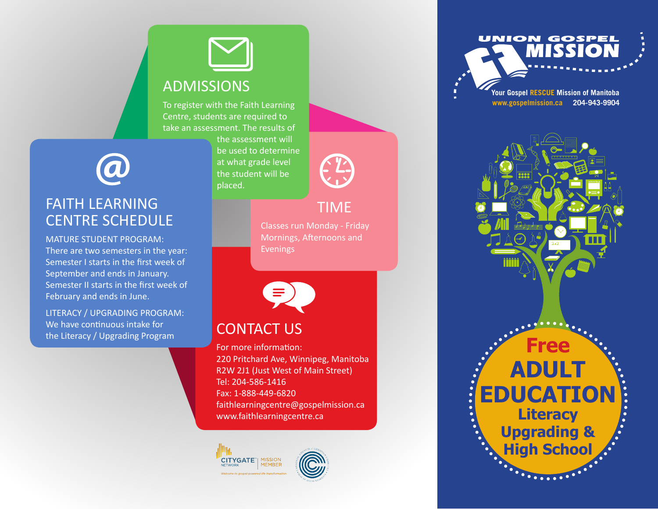# ADMISSIONS

To register with the Faith Learning Centre, students are required to take an assessment. The results of

> the assessment will be used to determine at what grade level the student will be placed.

TIME

Classes run Monday - Friday Mornings, Afternoons and Evenings



### CONTACT US

For more information: 220 Pritchard Ave, Winnipeg, Manitoba R2W 2J1 (Just West of Main Street) Tel: 204-586-1416 Fax: 1-888-449-6820 faithlearningcentre@gospelmission.ca www.faithlearningcentre.ca







**Your Gospel RESCUE Mission of Manitoba www.gospelmission.ca 204-943-9904**





#### FAITH LEARNING CENTRE SCHEDULE

MATURE STUDENT PROGRAM: There are two semesters in the year: Semester I starts in the first week of September and ends in January. Semester II starts in the first week of February and ends in June.

LITERACY / UPGRADING PROGRAM: We have continuous intake for the Literacy / Upgrading Program